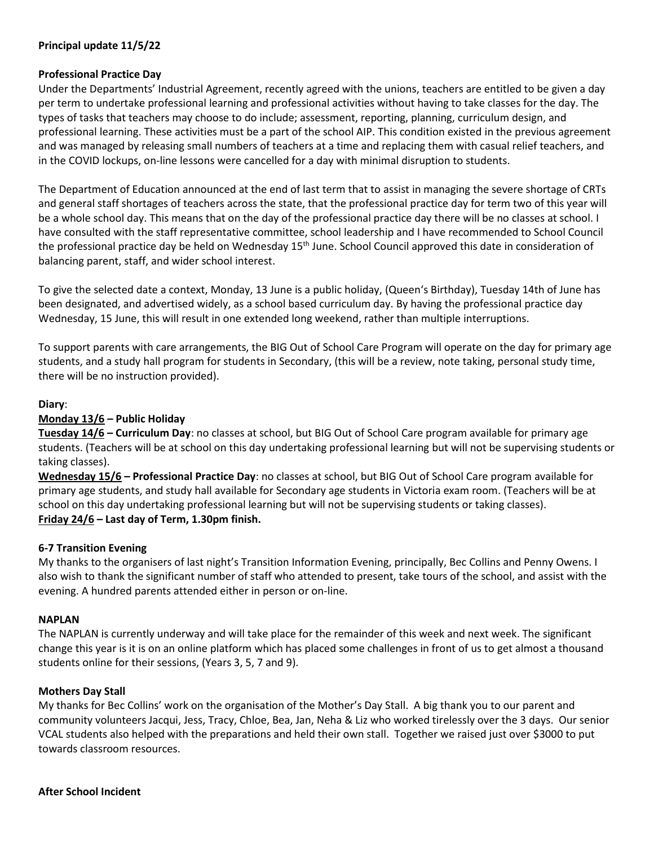# **Principal update 11/5/22**

#### **Professional Practice Day**

Under the Departments' Industrial Agreement, recently agreed with the unions, teachers are entitled to be given a day per term to undertake professional learning and professional activities without having to take classes for the day. The types of tasks that teachers may choose to do include; assessment, reporting, planning, curriculum design, and professional learning. These activities must be a part of the school AIP. This condition existed in the previous agreement and was managed by releasing small numbers of teachers at a time and replacing them with casual relief teachers, and in the COVID lockups, on-line lessons were cancelled for a day with minimal disruption to students.

The Department of Education announced at the end of last term that to assist in managing the severe shortage of CRTs and general staff shortages of teachers across the state, that the professional practice day for term two of this year will be a whole school day. This means that on the day of the professional practice day there will be no classes at school. I have consulted with the staff representative committee, school leadership and I have recommended to School Council the professional practice day be held on Wednesday 15<sup>th</sup> June. School Council approved this date in consideration of balancing parent, staff, and wider school interest.

To give the selected date a context, Monday, 13 June is a public holiday, (Queen's Birthday), Tuesday 14th of June has been designated, and advertised widely, as a school based curriculum day. By having the professional practice day Wednesday, 15 June, this will result in one extended long weekend, rather than multiple interruptions.

To support parents with care arrangements, the BIG Out of School Care Program will operate on the day for primary age students, and a study hall program for students in Secondary, (this will be a review, note taking, personal study time, there will be no instruction provided).

## **Diary**:

## **Monday 13/6 – Public Holiday**

**Tuesday 14/6 – Curriculum Day**: no classes at school, but BIG Out of School Care program available for primary age students. (Teachers will be at school on this day undertaking professional learning but will not be supervising students or taking classes).

**Wednesday 15/6 – Professional Practice Day**: no classes at school, but BIG Out of School Care program available for primary age students, and study hall available for Secondary age students in Victoria exam room. (Teachers will be at school on this day undertaking professional learning but will not be supervising students or taking classes). **Friday 24/6 – Last day of Term, 1.30pm finish.**

## **6-7 Transition Evening**

My thanks to the organisers of last night's Transition Information Evening, principally, Bec Collins and Penny Owens. I also wish to thank the significant number of staff who attended to present, take tours of the school, and assist with the evening. A hundred parents attended either in person or on-line.

#### **NAPLAN**

The NAPLAN is currently underway and will take place for the remainder of this week and next week. The significant change this year is it is on an online platform which has placed some challenges in front of us to get almost a thousand students online for their sessions, (Years 3, 5, 7 and 9).

## **Mothers Day Stall**

My thanks for Bec Collins' work on the organisation of the Mother's Day Stall. A big thank you to our parent and community volunteers Jacqui, Jess, Tracy, Chloe, Bea, Jan, Neha & Liz who worked tirelessly over the 3 days. Our senior VCAL students also helped with the preparations and held their own stall. Together we raised just over \$3000 to put towards classroom resources.